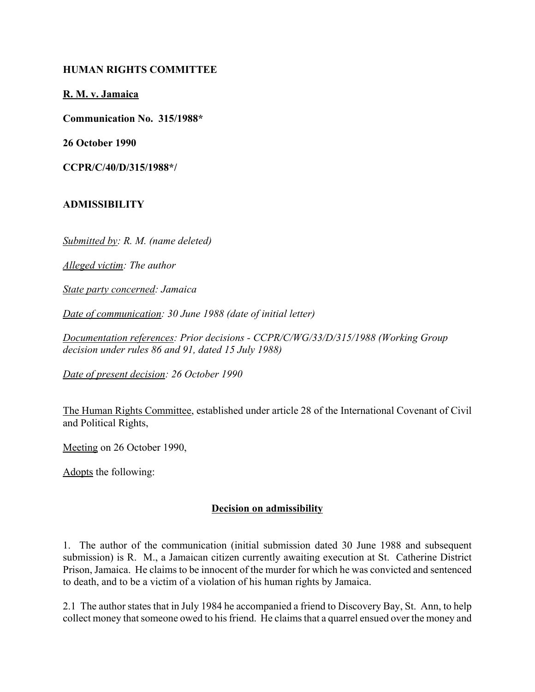## **HUMAN RIGHTS COMMITTEE**

**R. M. v. Jamaica**

**Communication No. 315/1988\***

**26 October 1990**

**CCPR/C/40/D/315/1988\*/**

## **ADMISSIBILITY**

*Submitted by: R. M. (name deleted)*

*Alleged victim: The author*

*State party concerned: Jamaica*

*Date of communication: 30 June 1988 (date of initial letter)*

*Documentation references: Prior decisions - CCPR/C/WG/33/D/315/1988 (Working Group decision under rules 86 and 91, dated 15 July 1988)*

*Date of present decision: 26 October 1990*

The Human Rights Committee, established under article 28 of the International Covenant of Civil and Political Rights,

Meeting on 26 October 1990,

Adopts the following:

## **Decision on admissibility**

1. The author of the communication (initial submission dated 30 June 1988 and subsequent submission) is R. M., a Jamaican citizen currently awaiting execution at St. Catherine District Prison, Jamaica. He claims to be innocent of the murder for which he was convicted and sentenced to death, and to be a victim of a violation of his human rights by Jamaica.

2.1 The author states that in July 1984 he accompanied a friend to Discovery Bay, St. Ann, to help collect money that someone owed to his friend. He claims that a quarrel ensued over the money and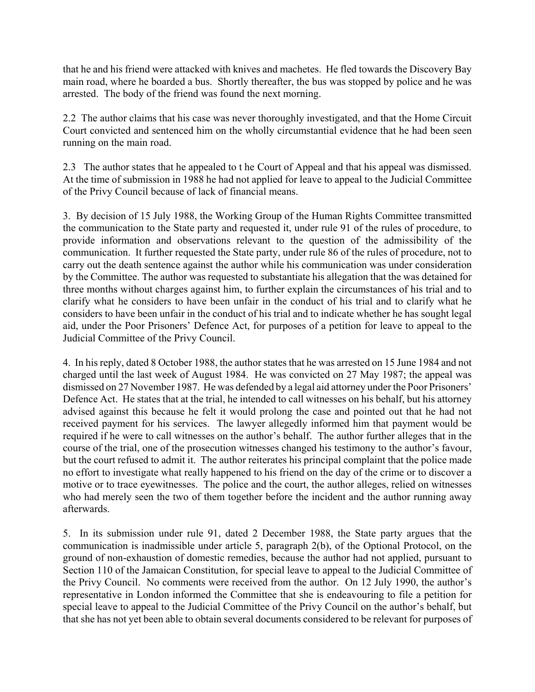that he and his friend were attacked with knives and machetes. He fled towards the Discovery Bay main road, where he boarded a bus. Shortly thereafter, the bus was stopped by police and he was arrested. The body of the friend was found the next morning.

2.2 The author claims that his case was never thoroughly investigated, and that the Home Circuit Court convicted and sentenced him on the wholly circumstantial evidence that he had been seen running on the main road.

2.3 The author states that he appealed to t he Court of Appeal and that his appeal was dismissed. At the time of submission in 1988 he had not applied for leave to appeal to the Judicial Committee of the Privy Council because of lack of financial means.

3. By decision of 15 July 1988, the Working Group of the Human Rights Committee transmitted the communication to the State party and requested it, under rule 91 of the rules of procedure, to provide information and observations relevant to the question of the admissibility of the communication. It further requested the State party, under rule 86 of the rules of procedure, not to carry out the death sentence against the author while his communication was under consideration by the Committee. The author was requested to substantiate his allegation that the was detained for three months without charges against him, to further explain the circumstances of his trial and to clarify what he considers to have been unfair in the conduct of his trial and to clarify what he considers to have been unfair in the conduct of his trial and to indicate whether he has sought legal aid, under the Poor Prisoners' Defence Act, for purposes of a petition for leave to appeal to the Judicial Committee of the Privy Council.

4. In his reply, dated 8 October 1988, the author states that he was arrested on 15 June 1984 and not charged until the last week of August 1984. He was convicted on 27 May 1987; the appeal was dismissed on 27 November 1987. He was defended by a legal aid attorney under the Poor Prisoners' Defence Act. He states that at the trial, he intended to call witnesses on his behalf, but his attorney advised against this because he felt it would prolong the case and pointed out that he had not received payment for his services. The lawyer allegedly informed him that payment would be required if he were to call witnesses on the author's behalf. The author further alleges that in the course of the trial, one of the prosecution witnesses changed his testimony to the author's favour, but the court refused to admit it. The author reiterates his principal complaint that the police made no effort to investigate what really happened to his friend on the day of the crime or to discover a motive or to trace eyewitnesses. The police and the court, the author alleges, relied on witnesses who had merely seen the two of them together before the incident and the author running away afterwards.

5. In its submission under rule 91, dated 2 December 1988, the State party argues that the communication is inadmissible under article 5, paragraph 2(b), of the Optional Protocol, on the ground of non-exhaustion of domestic remedies, because the author had not applied, pursuant to Section 110 of the Jamaican Constitution, for special leave to appeal to the Judicial Committee of the Privy Council. No comments were received from the author. On 12 July 1990, the author's representative in London informed the Committee that she is endeavouring to file a petition for special leave to appeal to the Judicial Committee of the Privy Council on the author's behalf, but that she has not yet been able to obtain several documents considered to be relevant for purposes of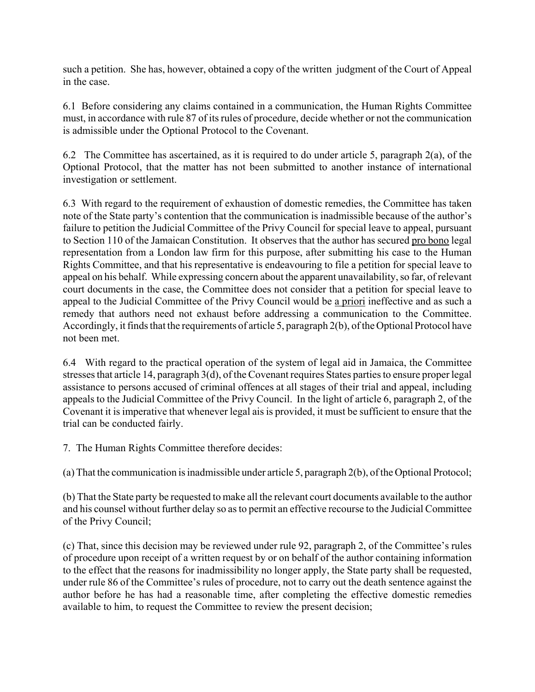such a petition. She has, however, obtained a copy of the written judgment of the Court of Appeal in the case.

6.1 Before considering any claims contained in a communication, the Human Rights Committee must, in accordance with rule 87 of its rules of procedure, decide whether or not the communication is admissible under the Optional Protocol to the Covenant.

6.2 The Committee has ascertained, as it is required to do under article 5, paragraph 2(a), of the Optional Protocol, that the matter has not been submitted to another instance of international investigation or settlement.

6.3 With regard to the requirement of exhaustion of domestic remedies, the Committee has taken note of the State party's contention that the communication is inadmissible because of the author's failure to petition the Judicial Committee of the Privy Council for special leave to appeal, pursuant to Section 110 of the Jamaican Constitution. It observes that the author has secured pro bono legal representation from a London law firm for this purpose, after submitting his case to the Human Rights Committee, and that his representative is endeavouring to file a petition for special leave to appeal on his behalf. While expressing concern about the apparent unavailability, so far, of relevant court documents in the case, the Committee does not consider that a petition for special leave to appeal to the Judicial Committee of the Privy Council would be a priori ineffective and as such a remedy that authors need not exhaust before addressing a communication to the Committee. Accordingly, it finds that the requirements of article 5, paragraph 2(b), of the Optional Protocol have not been met.

6.4 With regard to the practical operation of the system of legal aid in Jamaica, the Committee stresses that article 14, paragraph 3(d), of the Covenant requires States parties to ensure proper legal assistance to persons accused of criminal offences at all stages of their trial and appeal, including appeals to the Judicial Committee of the Privy Council. In the light of article 6, paragraph 2, of the Covenant it is imperative that whenever legal ais is provided, it must be sufficient to ensure that the trial can be conducted fairly.

7. The Human Rights Committee therefore decides:

(a) That the communication is inadmissible under article 5, paragraph 2(b), of the Optional Protocol;

(b) That the State party be requested to make all the relevant court documents available to the author and his counsel without further delay so as to permit an effective recourse to the Judicial Committee of the Privy Council;

(c) That, since this decision may be reviewed under rule 92, paragraph 2, of the Committee's rules of procedure upon receipt of a written request by or on behalf of the author containing information to the effect that the reasons for inadmissibility no longer apply, the State party shall be requested, under rule 86 of the Committee's rules of procedure, not to carry out the death sentence against the author before he has had a reasonable time, after completing the effective domestic remedies available to him, to request the Committee to review the present decision;